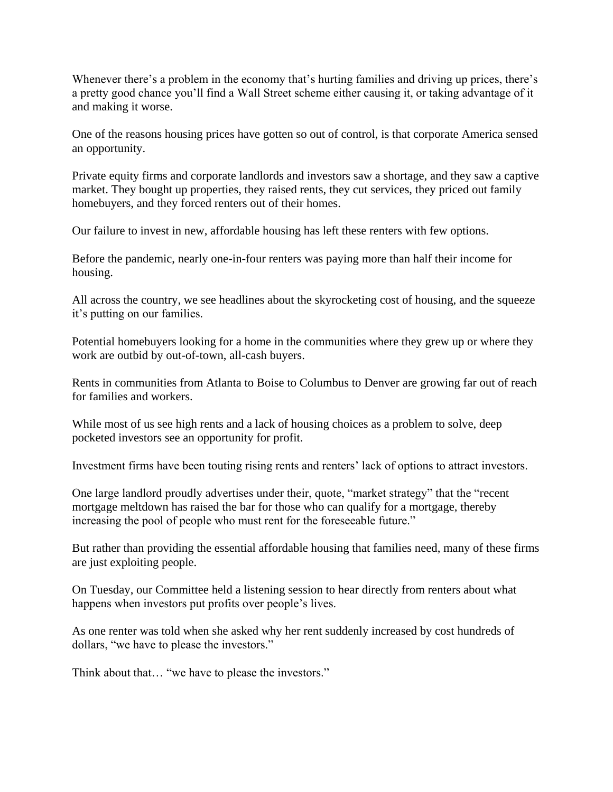Whenever there's a problem in the economy that's hurting families and driving up prices, there's a pretty good chance you'll find a Wall Street scheme either causing it, or taking advantage of it and making it worse.

One of the reasons housing prices have gotten so out of control, is that corporate America sensed an opportunity.

Private equity firms and corporate landlords and investors saw a shortage, and they saw a captive market. They bought up properties, they raised rents, they cut services, they priced out family homebuyers, and they forced renters out of their homes.

Our failure to invest in new, affordable housing has left these renters with few options.

Before the pandemic, nearly one-in-four renters was paying more than half their income for housing.

All across the country, we see headlines about the skyrocketing cost of housing, and the squeeze it's putting on our families.

Potential homebuyers looking for a home in the communities where they grew up or where they work are outbid by out-of-town, all-cash buyers.

Rents in communities from Atlanta to Boise to Columbus to Denver are growing far out of reach for families and workers.

While most of us see high rents and a lack of housing choices as a problem to solve, deep pocketed investors see an opportunity for profit.

Investment firms have been touting rising rents and renters' lack of options to attract investors.

One large landlord proudly advertises under their, quote, "market strategy" that the "recent mortgage meltdown has raised the bar for those who can qualify for a mortgage, thereby increasing the pool of people who must rent for the foreseeable future."

But rather than providing the essential affordable housing that families need, many of these firms are just exploiting people.

On Tuesday, our Committee held a listening session to hear directly from renters about what happens when investors put profits over people's lives.

As one renter was told when she asked why her rent suddenly increased by cost hundreds of dollars, "we have to please the investors."

Think about that… "we have to please the investors."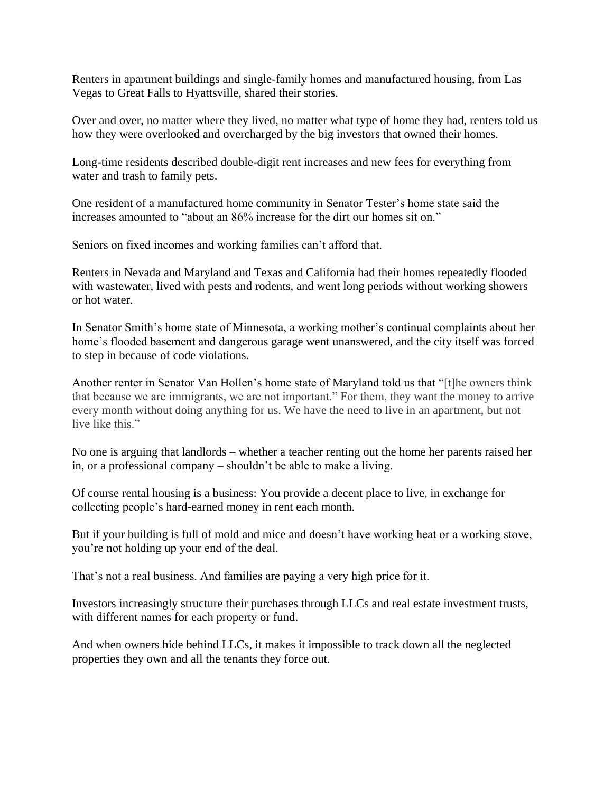Renters in apartment buildings and single-family homes and manufactured housing, from Las Vegas to Great Falls to Hyattsville, shared their stories.

Over and over, no matter where they lived, no matter what type of home they had, renters told us how they were overlooked and overcharged by the big investors that owned their homes.

Long-time residents described double-digit rent increases and new fees for everything from water and trash to family pets.

One resident of a manufactured home community in Senator Tester's home state said the increases amounted to "about an 86% increase for the dirt our homes sit on."

Seniors on fixed incomes and working families can't afford that.

Renters in Nevada and Maryland and Texas and California had their homes repeatedly flooded with wastewater, lived with pests and rodents, and went long periods without working showers or hot water.

In Senator Smith's home state of Minnesota, a working mother's continual complaints about her home's flooded basement and dangerous garage went unanswered, and the city itself was forced to step in because of code violations.

Another renter in Senator Van Hollen's home state of Maryland told us that "[t]he owners think that because we are immigrants, we are not important." For them, they want the money to arrive every month without doing anything for us. We have the need to live in an apartment, but not live like this."

No one is arguing that landlords – whether a teacher renting out the home her parents raised her in, or a professional company – shouldn't be able to make a living.

Of course rental housing is a business: You provide a decent place to live, in exchange for collecting people's hard-earned money in rent each month.

But if your building is full of mold and mice and doesn't have working heat or a working stove, you're not holding up your end of the deal.

That's not a real business. And families are paying a very high price for it.

Investors increasingly structure their purchases through LLCs and real estate investment trusts, with different names for each property or fund.

And when owners hide behind LLCs, it makes it impossible to track down all the neglected properties they own and all the tenants they force out.